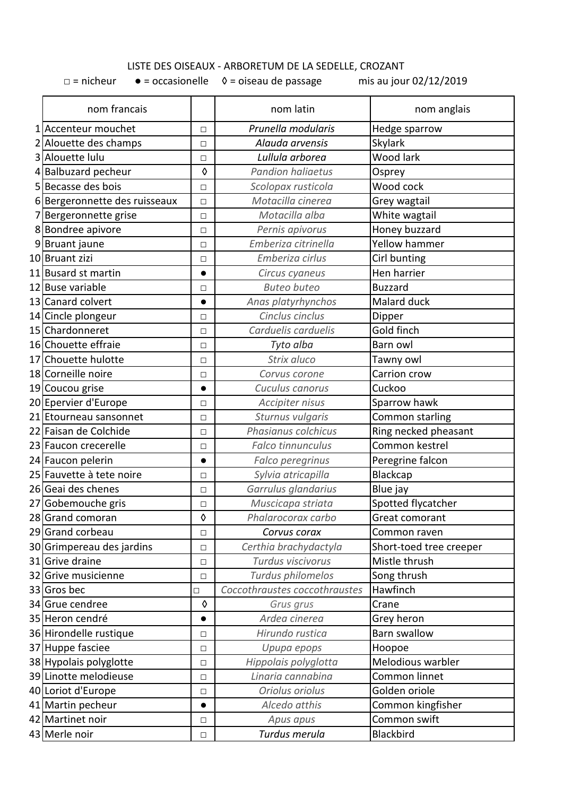## LISTE DES OISEAUX - ARBORETUM DE LA SEDELLE, CROZANT

 $\Box$  = nicheur  $\bullet$  = occasionelle  $\Diamond$  = oiseau de passage mis au jour 02/12/2019

| nom francais                  |            | nom latin                     | nom anglais             |
|-------------------------------|------------|-------------------------------|-------------------------|
| 1 Accenteur mouchet           | □          | Prunella modularis            | Hedge sparrow           |
| 2 Alouette des champs         | □          | Alauda arvensis               | Skylark                 |
| 3 Alouette Iulu               | □          | Lullula arborea               | Wood lark               |
| 4 Balbuzard pecheur           | $\Diamond$ | <b>Pandion haliaetus</b>      | Osprey                  |
| 5 Becasse des bois            | П          | Scolopax rusticola            | Wood cock               |
| 6 Bergeronnette des ruisseaux | □          | Motacilla cinerea             | Grey wagtail            |
| 7 Bergeronnette grise         | □          | Motacilla alba                | White wagtail           |
| 8 Bondree apivore             | □          | Pernis apivorus               | Honey buzzard           |
| 9 Bruant jaune                | □          | Emberiza citrinella           | <b>Yellow hammer</b>    |
| 10 Bruant zizi                | □          | Emberiza cirlus               | Cirl bunting            |
| 11 Busard st martin           | $\bullet$  | Circus cyaneus                | Hen harrier             |
| 12 Buse variable              | □          | <b>Buteo buteo</b>            | <b>Buzzard</b>          |
| 13 Canard colvert             | $\bullet$  | Anas platyrhynchos            | Malard duck             |
| 14 Cincle plongeur            | □          | Cinclus cinclus               | Dipper                  |
| 15 Chardonneret               | □          | Carduelis carduelis           | Gold finch              |
| 16 Chouette effraie           | П          | Tyto alba                     | Barn owl                |
| 17 Chouette hulotte           | □          | Strix aluco                   | Tawny owl               |
| 18 Corneille noire            | □          | Corvus corone                 | Carrion crow            |
| 19 Coucou grise               |            | Cuculus canorus               | Cuckoo                  |
| 20 Epervier d'Europe          | □          | Accipiter nisus               | Sparrow hawk            |
| 21 Etourneau sansonnet        | □          | Sturnus vulgaris              | Common starling         |
| 22 Faisan de Colchide         | П          | Phasianus colchicus           | Ring necked pheasant    |
| 23 Faucon crecerelle          | П          | Falco tinnunculus             | Common kestrel          |
| 24 Faucon pelerin             | $\bullet$  | Falco peregrinus              | Peregrine falcon        |
| 25 Fauvette à tete noire      | □          | Sylvia atricapilla            | Blackcap                |
| 26 Geai des chenes            | □          | Garrulus glandarius           | Blue jay                |
| 27 Gobemouche gris            | □          | Muscicapa striata             | Spotted flycatcher      |
| 28 Grand comoran              | $\Diamond$ | Phalarocorax carbo            | Great comorant          |
| 29 Grand corbeau              | □          | Corvus corax                  | Common raven            |
| 30 Grimpereau des jardins     | □          | Certhia brachydactyla         | Short-toed tree creeper |
| 31 Grive draine               | □          | Turdus viscivorus             | Mistle thrush           |
| 32 Grive musicienne           | □          | Turdus philomelos             | Song thrush             |
| 33 Gros bec                   | $\Box$     | Coccothraustes coccothraustes | Hawfinch                |
| 34 Grue cendree               | 0          | Grus grus                     | Crane                   |
| 35 Heron cendré               | $\bullet$  | Ardea cinerea                 | Grey heron              |
| 36 Hirondelle rustique        | □          | Hirundo rustica               | <b>Barn swallow</b>     |
| 37 Huppe fasciee              | □          | Upupa epops                   | Hoopoe                  |
| 38 Hypolais polyglotte        | □          | Hippolais polyglotta          | Melodious warbler       |
| 39 Linotte melodieuse         | □          | Linaria cannabina             | Common linnet           |
| 40 Loriot d'Europe            | □          | Oriolus oriolus               | Golden oriole           |
| 41 Martin pecheur             |            | Alcedo atthis                 | Common kingfisher       |
| 42 Martinet noir              | □          | Apus apus                     | Common swift            |
| 43 Merle noir                 | □          | Turdus merula                 | Blackbird               |